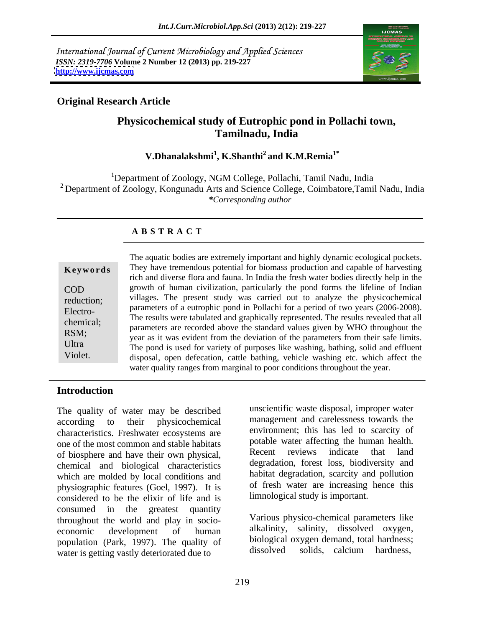International Journal of Current Microbiology and Applied Sciences *ISSN: 2319-7706* **Volume 2 Number 12 (2013) pp. 219-227 <http://www.ijcmas.com>**



## **Original Research Article**

# **Physicochemical study of Eutrophic pond in Pollachi town, Tamilnadu, India**

**V.Dhanalakshmi<sup>1</sup> , K.Shanthi2 and K.M.Remia1\***

<sup>1</sup>Department of Zoology, NGM College, Pollachi, Tamil Nadu, India <sup>2</sup> Department of Zoology, Kongunadu Arts and Science College, Coimbatore, Tamil Nadu, India *\*Corresponding author* 

## **A B S T R A C T**

| Keywords   |  |
|------------|--|
| COD        |  |
| reduction; |  |
| Electro-   |  |
| chemical;  |  |
| RSM;       |  |
| Ultra      |  |
| Violet.    |  |

**Keywords** They have tremendous potential for biomass production and capable of harvesting COD growth of human civilization, particularly the pond forms the lifeline of Indian reduction; villages. The present study was carried out to analyze the physicochemical Electro-<br>
The results were tabulated and graphically represented. The results revealed that all<br>
Electro-<br>
The results were tabulated and graphically represented. The results revealed that all chemical;<br>parameters are recorded above the standard values given by WHO throughout the RSM;<br>year as it was evident from the deviation of the parameters from their safe limits. Ultra<br>The pond is used for variety of purposes like washing, bathing, solid and effluent The aquatic bodies are extremely important and highly dynamic ecological pockets.<br>
They have tremendous potential for biomass production and capable of harvesting<br>
rich and diverse flora and fauna. In India the fresh water rich and diverse flora and fauna. In India the fresh water bodies directly help in the parameters of a eutrophic pond in Pollachi for a period of two years (2006-2008). disposal, open defecation, cattle bathing, vehicle washing etc. which affect the water quality ranges from marginal to poor conditions throughout the year.

### **Introduction**

The quality of water may be described according to their physicochemical management and carelessness towards the characteristics. Freshwater ecosystems are one of the most common and stable habitats and potable water affecting the human health.<br>
Secent reviews indicate that land of biosphere and have their own physical, chemical and biological characteristics which are molded by local conditions and physiographic features (Goel, 1997). It is considered to be the elixir of life and is consumed in the greatest quantity throughout the world and play in socio economic development of human alkalinity, salinity, dissolved oxygen, population (Park, 1997). The quality of biological<br>weter is esting youth deteriorated due to dissolved water is getting vastly deteriorated due to

unscientific waste disposal, improper water environment; this has led to scarcity of potable water affecting the human health. Recent reviews indicate that land degradation, forest loss, biodiversity and habitat degradation, scarcity and pollution of fresh water are increasing hence this limnological study is important.

Various physico-chemical parameters like alkalinity, salinity, dissolved oxygen, biological oxygen demand, total hardness; solids, calcium hardness,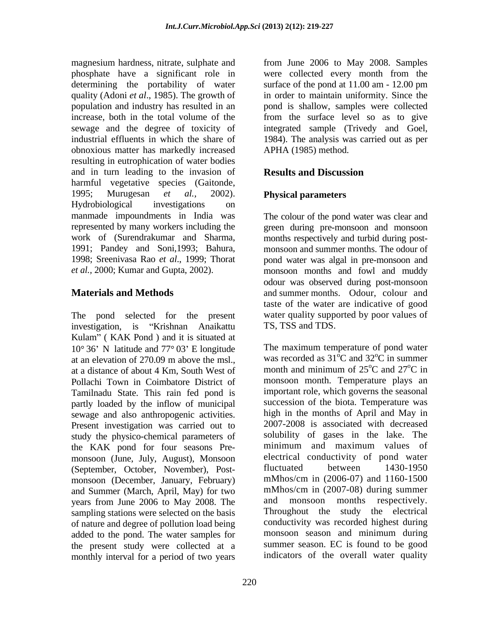magnesium hardness, nitrate, sulphate and from June 2006 to May 2008. Samples phosphate have a significant role in were collected every month from the determining the portability of water surface of the pond at 11.00 am - 12.00 pm quality (Adoni *et al*., 1985). The growth of in order to maintain uniformity. Since the population and industry has resulted in an pond is shallow, samples were collected increase, both in the total volume of the from the surface level so as to give sewage and the degree of toxicity of integrated sample (Trivedy and Goel, industrial effluents in which the share of 1984). The analysis was carried out as per obnoxious matter has markedly increased resulting in eutrophication of water bodies and in turn leading to the invasion of **Results and Discussion** harmful vegetative species (Gaitonde, 1995; Murugesan *et al.,* 2002). Hydrobiological investigations on manmade impoundments in India was represented by many workers including the green during pre-monsoon and monsoon work of (Surendrakumar and Sharma, months respectively and turbid during post- 1991; Pandey and Soni,1993; Bahura, monsoon and summer months. The odour of 1998; Sreenivasa Rao *et al*., 1999; Thorat pond water was algal in pre-monsoon and *et al.,* 2000; Kumar and Gupta, 2002). monsoon months and fowl and muddy

The pond selected for the present investigation, is "Krishnan Anaikattu Kulam" (KAK Pond) and it is situated at  $10^{\circ}$  36' N latitude and 77 $^{\circ}$  03' E longitude at an elevation of 270.09 m above the msl.,<br>at a distance of about 4 Km. South West of month and minimum of 25<sup>o</sup>C and 27<sup>o</sup>C in at a distance of about 4 Km, South West of Pollachi Town in Coimbatore District of Tamilnadu State. This rain fed pond is partly loaded by the inflow of municipal sewage and also anthropogenic activities. Present investigation was carried out to study the physico-chemical parameters of the KAK pond for four seasons Pre monsoon (June, July, August), Monsoon electrical conductivity of pond water<br>(September October November) Post- fluctuated between 1430-1950 (September, October, November), Post monsoon (December, January, February) and Summer (March, April, May) for two mMhos/cm in (2007-08) during summer<br>vears from June 2006 to May 2008. The and monsoon months respectively. years from June 2006 to May 2008. The sampling stations were selected on the basis of nature and degree of pollution load being<br>added to the pond. The water samples for monsoon season and minimum during added to the pond. The water samples for the present study were collected at a monthly interval for a period of two years

APHA (1985) method.

## **Results and Discussion**

### **Physical parameters**

**Materials and Methods** and summer months. Odour, colour and The colour of the pond water was clear and odour was observed during post-monsoon taste of the water are indicative of good water quality supported by poor values of TS, TSS and TDS.

> The maximum temperature of pond water was recorded as  $31^{\circ}$ C and  $32^{\circ}$ C in summer  ${}^{\circ}C$  and 32 ${}^{\circ}C$  in summer  $\rm^{\circ}C$  in summer month and minimum of  $25^{\circ}$ C and  $27^{\circ}$ C in  $\rm ^{o}C$  and  $\rm 27^oC$  in  $\rm{^oC}$  in monsoon month. Temperature plays an important role, which governs the seasonal succession of the biota. Temperature was high in the months of April and May in 2007-2008 is associated with decreased solubility of gases in the lake. The minimum and maximum values of electrical conductivity of pond water fluctuated between 1430-1950 mMhos/cm in (2006-07) and 1160-1500 mMhos/cm in (2007-08) during summer and monsoon months respectively. Throughout the study the electrical conductivity was recorded highest during monsoon season and minimum during summer season. EC is found to be good indicators of the overall water quality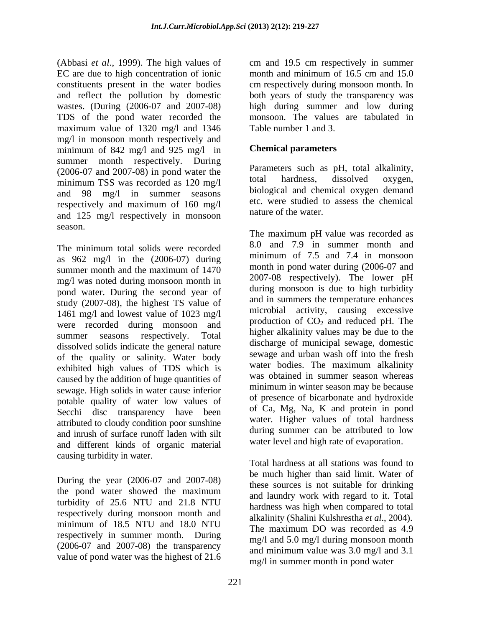(Abbasi *et al*., 1999). The high values of cm and 19.5 cm respectively in summer EC are due to high concentration of ionic constituents present in the water bodies cm respectively during monsoon month. In and reflect the pollution by domestic both years of study the transparency was wastes. (During (2006-07 and 2007-08) high during summer and low during TDS of the pond water recorded the maximum value of 1320 mg/l and 1346 mg/l in monsoon month respectively and minimum of 842 mg/l and 925 mg/l in summer month respectively. During (2006-07 and 2007-08) in pond water the  $(2006-07 \text{ and } 2007-08)$  in pond water the  $(2006-07 \text{ and } 2007-08)$  in pond water the  $(2006-07 \text{ and } 2007-08)$  is proported as 120 mg/l total hardness, dissolved oxygen, minimum TSS was recorded as 120 mg/l and 98 mg/l in summer seasons respectively and maximum of 160 mg/l and 125 mg/l respectively in monsoon season.

The minimum total solids were recorded as 962 mg/l in the (2006-07) during summer month and the maximum of  $1470$  month in pond water during  $(2000-0)$  and mg/l was noted during monsoon month in pond water. During the second year of study (2007-08), the highest TS value of 1461 mg/l and lowest value of 1023 mg/l were recorded during monsoon and summer seasons respectively. Total higher alkalinity values may be due to the dissolved solids indicate the general nature of the quality or salinity. Water body exhibited high values of TDS which is caused by the addition of huge quantities of sewage. High solids in water cause inferior potable quality of water low values of Secchi disc transparency have been attributed to cloudy condition poor sunshine and inrush of surface runoff laden with silt and different kinds of organic material causing turbidity in water.

During the year (2006-07 and 2007-08) the pond water showed the maximum turbidity of 25.6 NTU and 21.8 NTU respectively during monsoon month and minimum of 18.5 NTU and 18.0 NTU respectively in summer month. During (2006-07 and 2007-08) the transparency value of pond water was the highest of 21.6

month and minimum of 16.5 cm and 15.0 monsoon. The values are tabulated in Table number 1 and 3.

## **Chemical parameters**

Parameters such as pH, total alkalinity, total hardness, dissolved oxygen, biological and chemical oxygen demand etc. were studied to assess the chemical nature of the water.

The maximum pH value was recorded as 8.0 and 7.9 in summer month and minimum of 7.5 and 7.4 in monsoon month in pond water during (2006-07 and 2007-08 respectively). The lower pH during monsoon is due to high turbidity and in summers the temperature enhances microbial activity, causing excessive production of  $CO<sub>2</sub>$  and reduced pH. The discharge of municipal sewage, domestic sewage and urban wash off into the fresh water bodies. The maximum alkalinity was obtained in summer season whereas minimum in winter season may be because of presence of bicarbonate and hydroxide of Ca, Mg, Na, K and protein in pond water. Higher values of total hardness during summer can be attributed to low water level and high rate of evaporation.

Total hardness at all stations was found to be much higher than said limit. Water of these sources is not suitable for drinking and laundry work with regard to it. Total hardness was high when compared to total alkalinity (Shalini Kulshrestha *et al*., 2004). The maximum DO was recorded as 4.9 mg/l and 5.0 mg/l during monsoon month and minimum value was 3.0 mg/l and 3.1 mg/l in summer month in pond water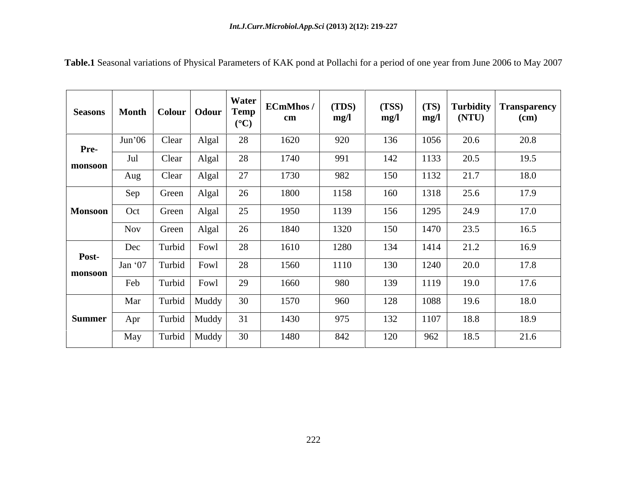| Seasons Month Colour Odour Temp |            |        |                         | $(C^{\circ}C)$ | ECmMhos /<br>$\mathbf{cm}$ | (TDS)<br>mg/l | (TSS)<br>mg/l | mg/l | $(TS)$ Turbidity<br>(NTU) | Transparency<br>$\epsilon$ (cm) |
|---------------------------------|------------|--------|-------------------------|----------------|----------------------------|---------------|---------------|------|---------------------------|---------------------------------|
| Pre-                            | Jun'06     | Clear  | Algal                   | 28             | 1620                       | 920           | 136           | 1056 | 20.6                      | 20.8                            |
| monsoon                         | Jul        | Clear  | Algal                   | 28             | 1740                       | 991           | 142           | 1133 | 20.5                      | 19.5                            |
|                                 | Aug        | Clear  | Algal                   | 27             | 1730                       | 982           | 150           | 1132 | 21.7                      | 18.0                            |
|                                 | Sep        | Green  | Algal                   | 26             | 1800                       | 1158          | 160           | 1318 | 25.6                      | 17.9                            |
| <b>Monsoon</b>                  | Oct        | Green  | Algal                   | 25             | 1950                       | 1139          | 156           | 1295 | 24.9                      | 17.0                            |
|                                 | <b>Nov</b> | Green  | Algal                   | 26             | 1840                       | 1320          | 150           | 1470 | 23.5                      | 16.5                            |
|                                 | Dec        |        | Turbid Fowl             | 28             | 1610                       | 1280          | 134           | 1414 | 21.2                      | 16.9                            |
| Post-                           |            |        | Jan '07   Turbid   Fowl | 28             | 1560                       | 1110          | 130           | 1240 | 20.0                      | 17.8                            |
| monsoon                         | Feb        | Turbid | Fowl                    | 29             | 1660                       | 980           | 139           | 1119 | 19.0                      | 17.6                            |
|                                 | Mar        |        | Turbid   Muddy          | 30             | 1570                       | 960           | 128           | 1088 | 19.6                      | 18.0                            |
| <b>Summer</b>                   | Apr        |        | Turbid   Muddy          | 31             | 1430                       | 975           | 132           | 1107 | 18.8                      | 18.9                            |
|                                 | May        |        | Turbid   Muddy          | 30             | 1480                       | 842           | 120           | 962  | 18.5                      | 21.6                            |

**Table.1** Seasonal variations of Physical Parameters of KAK pond at Pollachi for a period of one year from June 2006 to May 2007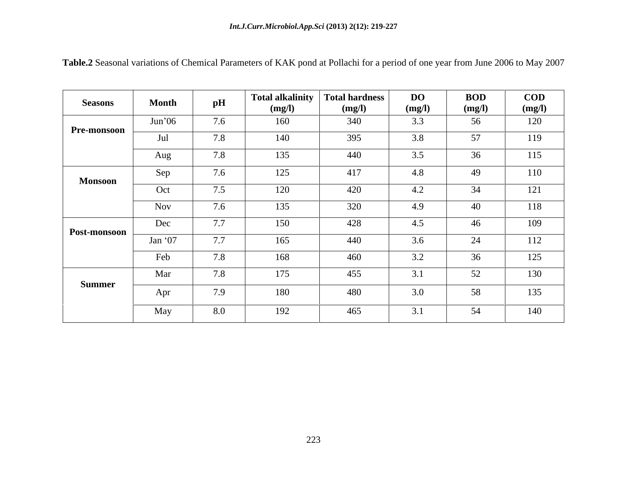| <b>Seasons</b>     | <b>Month</b> | pH                             | <b>Total alkalinity</b><br>(mg/l) | Total hardness<br>(mg/l) | <b>DO</b><br>(mg/l) | <b>BOD</b><br>(mg/l)              | <b>COD</b><br>(mg/l) |
|--------------------|--------------|--------------------------------|-----------------------------------|--------------------------|---------------------|-----------------------------------|----------------------|
| <b>Pre-monsoon</b> | Jun'06       | 7.6                            | 160                               | 340                      | 3.3                 | 56                                | 120                  |
|                    | Jul          | 7.8                            | 140                               | 395                      | 3.8                 | 57                                | 119                  |
|                    | Aug          | 7.8                            | 135                               | 440                      | 3.5                 | 36                                | 115                  |
| <b>Monsoon</b>     | Sep          | 7.6                            | 125                               | 417                      | 4.8                 | 49                                | 110                  |
|                    | Oct          | 7.5                            | 120                               | 420                      | $\sqrt{4}$<br>4.2   | $\bigcap$ $\bigcap$<br>- 24       | 121                  |
|                    | Nov          | 7.6                            | 135                               | 320                      | 4.9                 | $\Lambda$<br>40                   | 118                  |
| Post-monsoon       | Dec          | $\tau$ $\tau$<br>$\frac{1}{2}$ | 150                               | 428                      | 4.5                 | 46                                | 109                  |
|                    | Jan $`07$    | 7.7                            | 165                               | 440                      | 3.6                 | 24                                | 112                  |
|                    | Feb          | 7.8                            | 168                               | 460                      | 3.2                 | 36                                | 125                  |
|                    | Mar          | 7.8                            | 175                               | 455                      | 3.1                 | 50 <sup>1</sup><br>$J\mathcal{L}$ | 130                  |
| Summer             | Apr          | 7.9                            | 180                               | 480                      | 3.0                 | 58                                | 135                  |
|                    | May          | 8.0                            | 192                               | 465                      | 3.1                 | 54                                | 140                  |

**Table.2** Seasonal variations of Chemical Parameters of KAK pond at Pollachi for a period of one year from June 2006 to May 2007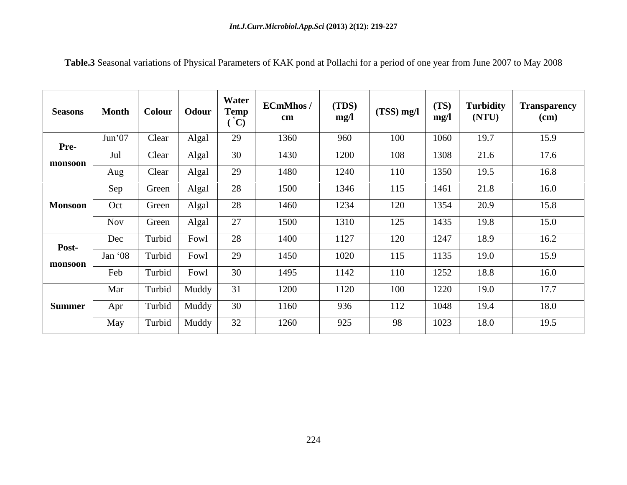| <b>Seasons</b> |         | Month   Colour   Odour   Temp |                | Water | <b>ECmMhos/</b><br>cm | (TDS)<br>mg/l | $(TSS)$ mg/l | (TS)<br>mg/l | Turbidity<br>(NTU) | <sub>1</sub> Transparency<br>(cm) |
|----------------|---------|-------------------------------|----------------|-------|-----------------------|---------------|--------------|--------------|--------------------|-----------------------------------|
| Pre-           | Jun'07  | Clear                         | Algal          | 29    | 1360                  | 960           | 100          | 1060         | 19.7               | 15.9                              |
| monsoon        | Jul     | Clear                         | Algal          | 30    | 1430                  | 1200          | 108          | 1308         | 21.6               | 17.6                              |
|                | Aug     | Clear                         | Algal          | 29    | 1480                  | 1240          | 110          | 1350         | 19.5               | 16.8                              |
|                | Sep     | Green                         | Algal          | 28    | 1500                  | 1346          | 115          | 1461         | 21.8               | 16.0                              |
| <b>Monsoon</b> | Oct     | Green                         | Algal          | 28    | 1460                  | 1234          | 120          | 1354         | 20.9               | 15.8                              |
|                | Nov     | Green                         | Algal          | 27    | 1500                  | 1310          | 125          | 1435         | 19.8               | 15.0                              |
|                | Dec     | Turbid                        | Fowl           | 28    | 1400                  | 1127          | 120          | 1247         | 18.9               | 16.2                              |
| Post-          | Jan '08 | Turbid                        | Fowl           | 29    | 1450                  | 1020          | 115          | 1135         | 19.0               | 15.9                              |
| monsoon        | Feb     | Turbid                        | Fowl           | 30    | 1495                  | 1142          | 110          | 1252         | 18.8               | 16.0                              |
|                | Mar     | Turbid                        | Muddy          |       | 1200                  | 1120          | 100          | 1220         | 19.0               | 17.7                              |
| <b>Summer</b>  | Apr     | Turbid                        | Muddy          | 30    | 1160                  | 936           | 112          | 1048         | 19.4               | 18.0                              |
|                | May     |                               | Turbid   Muddy | 32    | 1260                  | 925           | 98           | 1023         | 18.0               | 19.5                              |

**Table.3** Seasonal variations of Physical Parameters of KAK pond at Pollachi for a period of one year from June 2007 to May 2008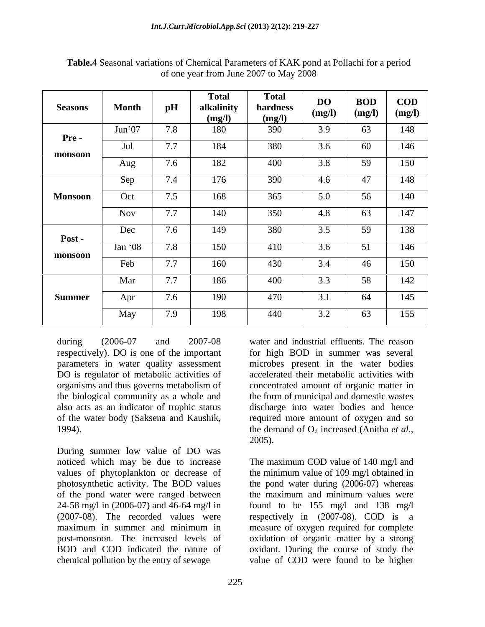| <b>Seasons</b> | <b>Month</b>   | $\mathbf{p}$ H                  | <b>Total</b><br>alkalinity<br>(mg/l) | <b>Total</b><br>hardness<br>(mg/l) | DO<br>(mg/l) | <b>BOD</b><br>(mg/l)             | <b>COD</b><br>(mg/l) |
|----------------|----------------|---------------------------------|--------------------------------------|------------------------------------|--------------|----------------------------------|----------------------|
| <b>Pre-</b>    | Jun'07         | 7.8                             | 180                                  | 390                                | 3.9          | 63                               | 148                  |
| monsoon        | Jul            | 77<br>1.1                       | 184                                  | 380                                | 3.6          | 60                               | 146                  |
|                | Aug            | 7.6                             | 182                                  | 400                                | 3.8          | 59                               | 150                  |
|                | Sep            | 7 <sub>4</sub><br>$1.4^{\circ}$ | 176                                  | 390                                | 4.6          | $\overline{A}$<br>$\overline{4}$ | 148                  |
| <b>Monsoon</b> | Oct            | 7.5                             | 168                                  | 365                                | 5.0          | 56                               | 140                  |
|                | <b>Nov</b>     | $\sqrt{2}$<br>$\frac{1}{2}$     | 140                                  | 350                                | 4.8          | 63                               | 147                  |
| Post -         | Dec            | 7.6                             | 149                                  | 380                                | 3.5          | 59                               | 138                  |
| monsoon        | Jan $\cdot$ 08 | 7.8                             | 150                                  | 410                                | 3.6          | $\epsilon$ 1                     | 146                  |
|                | Feb            | $\sqrt{2}$<br>1.1               | 160                                  | 430                                | 3.4          | 46                               | 150                  |
|                | Mar            | 77<br>$\frac{1}{2}$             | 186                                  | 400                                | 3.3          | 58                               | 142                  |
| <b>Summer</b>  | Apr            | 7.6                             | 190                                  | 470                                | 3.1          | 64                               | 145                  |
|                | May            | 7.9                             | 198                                  | 440                                | 3.2          | 63                               | 155                  |

**Table.4** Seasonal variations of Chemical Parameters of KAK pond at Pollachi for a period of one year from June 2007 to May 2008

During summer low value of DO was of the pond water were ranged between

during (2006-07 and 2007-08 water and industrial effluents. The reason respectively). DO is one of the important for high BOD in summer was several parameters in water quality assessment microbes present in the water bodies DO is regulator of metabolic activities of accelerated their metabolic activities with organisms and thus governs metabolism of concentrated amount of organic matter in the biological community as a whole and the form of municipal and domestic wastes also acts as an indicator of trophic status discharge into water bodies and hence of the water body (Saksena and Kaushik, required more amount of oxygen and so 1994).  $\qquad \qquad$  the demand of  $O_2$  increased (Anitha *et al.,* 2005).

noticed which may be due to increase The maximum COD value of 140 mg/l and values of phytoplankton or decrease of the minimum value of 109 mg/l obtained in photosynthetic activity. The BOD values the pond water during (2006-07) whereas 24-58 mg/l in (2006-07) and 46-64 mg/l in found to be 155 mg/l and 138 mg/l (2007-08). The recorded values were respectively in (2007-08). COD is a maximum in summer and minimum in measure of oxygen required for complete post-monsoon. The increased levels of oxidation of organic matter by a strong BOD and COD indicated the nature of oxidant. During the course of study the chemical pollution by the entry of sewage value of COD were found to be higher the maximum and minimum values were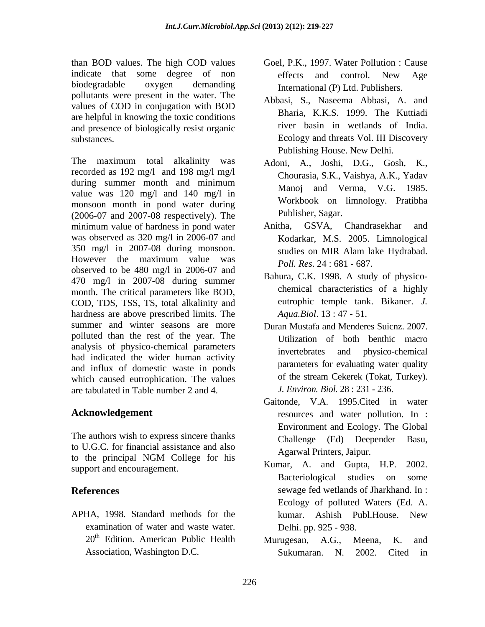than BOD values. The high COD values indicate that some degree of non<br>effects and control. New Age biodegradable oxygen demanding pollutants were present in the water. The values of COD in conjugation with BOD are helpful in knowing the toxic conditions and presence of biologically resist organic

The maximum total alkalinity was recorded as 192 mg/l and 198 mg/l mg/l during summer month and minimum value was 120 mg/l and 140 mg/l in monsoon month in pond water during (2006-07 and 2007-08 respectively). The minimum value of hardness in pond water Anitha, GSVA, Chandrasekhar and was observed as 320 mg/l in 2006-07 and Kodarkar, M.S. 2005. Limnological 350 mg/l in 2007-08 during monsoon. However the maximum value was observed to be 480 mg/l in 2006-07 and 470 mg/l in 2007-08 during summer month. The critical parameters like BOD, COD, TDS, TSS, TS, total alkalinity and hardness are above prescribed limits. The summer and winter seasons are more Duran Mustafa and Menderes Suicnz. 2007. polluted than the rest of the year. The analysis of physico-chemical parameters had indicated the wider human activity and influx of domestic waste in ponds which caused eutrophication. The values are tabulated in Table number 2 and 4.

The authors wish to express sincere thanks Challenge (Ed) Deepender Basu. to U.G.C. for financial assistance and also to the principal NGM College for his  $\frac{1}{K}$   $\frac{1}{K}$   $\frac{1}{K}$   $\frac{1}{K}$   $\frac{1}{K}$   $\frac{1}{K}$   $\frac{1}{K}$   $\frac{1}{K}$   $\frac{1}{K}$   $\frac{1}{K}$   $\frac{1}{K}$   $\frac{1}{K}$   $\frac{1}{K}$   $\frac{1}{K}$   $\frac{1}{K}$   $\frac{1}{K}$   $\frac{1}{K}$   $\frac{1}{K}$   $\frac{$ 

APHA, 1998. Standard methods for the  $\mu$  kumar. Ashish Publ. House. New examination of water and waste water.  $20<sup>th</sup>$  Edition. American Public Health Murugesan, A.G., Meena, K. and

- Goel, P.K., 1997. Water Pollution : Cause effects and control. New Age International (P) Ltd. Publishers.
- substances. Ecology and threats Vol. III Discovery Abbasi, S., Naseema Abbasi, A. and Bharia, K.K.S. 1999. The Kuttiadi river basin in wetlands of India. Publishing House. New Delhi.
	- Adoni, A., Joshi, D.G., Gosh, K., Chourasia, S.K., Vaishya, A.K., Yadav Manoj and Verma, V.G. 1985. Workbook on limnology. Pratibha Publisher, Sagar.
	- Anitha, GSVA, Chandrasekhar and studies on MIR Alam lake Hydrabad. *Poll. Res*. 24 : 681 - 687.
	- Bahura, C.K. 1998. A study of physico chemical characteristics of a highly eutrophic temple tank. Bikaner. *J. Aqua.Biol*. 13 : 47 - 51.
	- Utilization of both benthic macro invertebrates and physico-chemical parameters for evaluating water quality of the stream Cekerek (Tokat, Turkey). *J. Environ. Biol.* 28 : 231 - 236.
- Acknowledgement **resources** and water pollution. In : Gaitonde, V.A. 1995.Cited in water Environment and Ecology. The Global Challenge (Ed) Deepender Agarwal Printers, Jaipur.
- support and encouragement.<br> **EXECUTE:** EXECUTE: EXECUTE: EXECUTE: EXECUTE: EXECUTE: EXECUTE: EXECUTE: EXECUTE: EXECUTE: EXECUTE: EXECUTE: EXECUTE: EXECUTE: EXECUTE: EXECUTE: EXECUTE: EXECUTE: EXECUTE: EXECUTE: EXECUTE: EXE **References** sewage fed wetlands of Jharkhand. In : Kumar, A. and Gupta, H.P. Bacteriological studies on some Ecology of polluted Waters (Ed. A. kumar. Ashish Publ.House. New Delhi. pp. 925 - 938.
	- Association, Washington D.C. Sukumaran. N. 2002. Cited in Murugesan, A.G., Meena, Sukumaran. N. 2002. Cited in